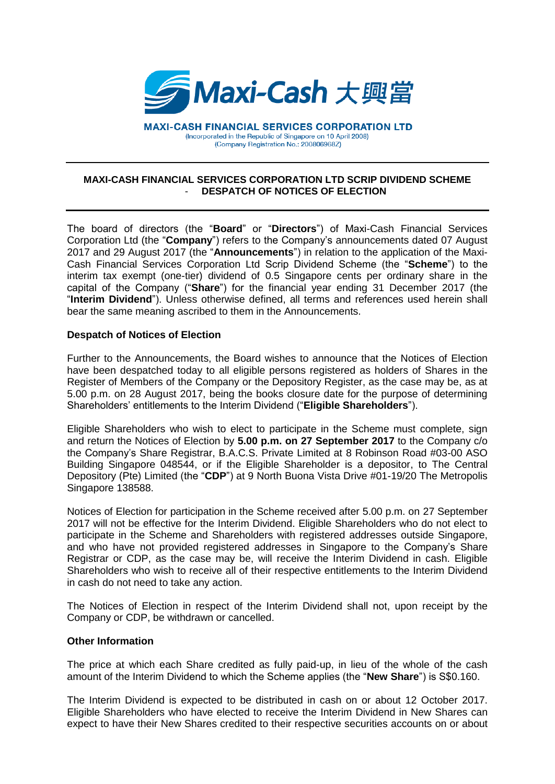

**MAXI-CASH FINANCIAL SERVICES CORPORATION LTD** (Incorporated in the Republic of Singapore on 10 April 2008) (Company Registration No.: 200806968Z)

## **MAXI-CASH FINANCIAL SERVICES CORPORATION LTD SCRIP DIVIDEND SCHEME** - **DESPATCH OF NOTICES OF ELECTION**

The board of directors (the "**Board**" or "**Directors**") of Maxi-Cash Financial Services Corporation Ltd (the "**Company**") refers to the Company's announcements dated 07 August 2017 and 29 August 2017 (the "**Announcements**") in relation to the application of the Maxi-Cash Financial Services Corporation Ltd Scrip Dividend Scheme (the "**Scheme**") to the interim tax exempt (one-tier) dividend of 0.5 Singapore cents per ordinary share in the capital of the Company ("**Share**") for the financial year ending 31 December 2017 (the "**Interim Dividend**"). Unless otherwise defined, all terms and references used herein shall bear the same meaning ascribed to them in the Announcements.

## **Despatch of Notices of Election**

Further to the Announcements, the Board wishes to announce that the Notices of Election have been despatched today to all eligible persons registered as holders of Shares in the Register of Members of the Company or the Depository Register, as the case may be, as at 5.00 p.m. on 28 August 2017, being the books closure date for the purpose of determining Shareholders' entitlements to the Interim Dividend ("**Eligible Shareholders**").

Eligible Shareholders who wish to elect to participate in the Scheme must complete, sign and return the Notices of Election by **5.00 p.m. on 27 September 2017** to the Company c/o the Company's Share Registrar, B.A.C.S. Private Limited at 8 Robinson Road #03-00 ASO Building Singapore 048544, or if the Eligible Shareholder is a depositor, to The Central Depository (Pte) Limited (the "**CDP**") at 9 North Buona Vista Drive #01-19/20 The Metropolis Singapore 138588.

Notices of Election for participation in the Scheme received after 5.00 p.m. on 27 September 2017 will not be effective for the Interim Dividend. Eligible Shareholders who do not elect to participate in the Scheme and Shareholders with registered addresses outside Singapore, and who have not provided registered addresses in Singapore to the Company's Share Registrar or CDP, as the case may be, will receive the Interim Dividend in cash. Eligible Shareholders who wish to receive all of their respective entitlements to the Interim Dividend in cash do not need to take any action.

The Notices of Election in respect of the Interim Dividend shall not, upon receipt by the Company or CDP, be withdrawn or cancelled.

## **Other Information**

The price at which each Share credited as fully paid-up, in lieu of the whole of the cash amount of the Interim Dividend to which the Scheme applies (the "**New Share**") is S\$0.160.

The Interim Dividend is expected to be distributed in cash on or about 12 October 2017. Eligible Shareholders who have elected to receive the Interim Dividend in New Shares can expect to have their New Shares credited to their respective securities accounts on or about